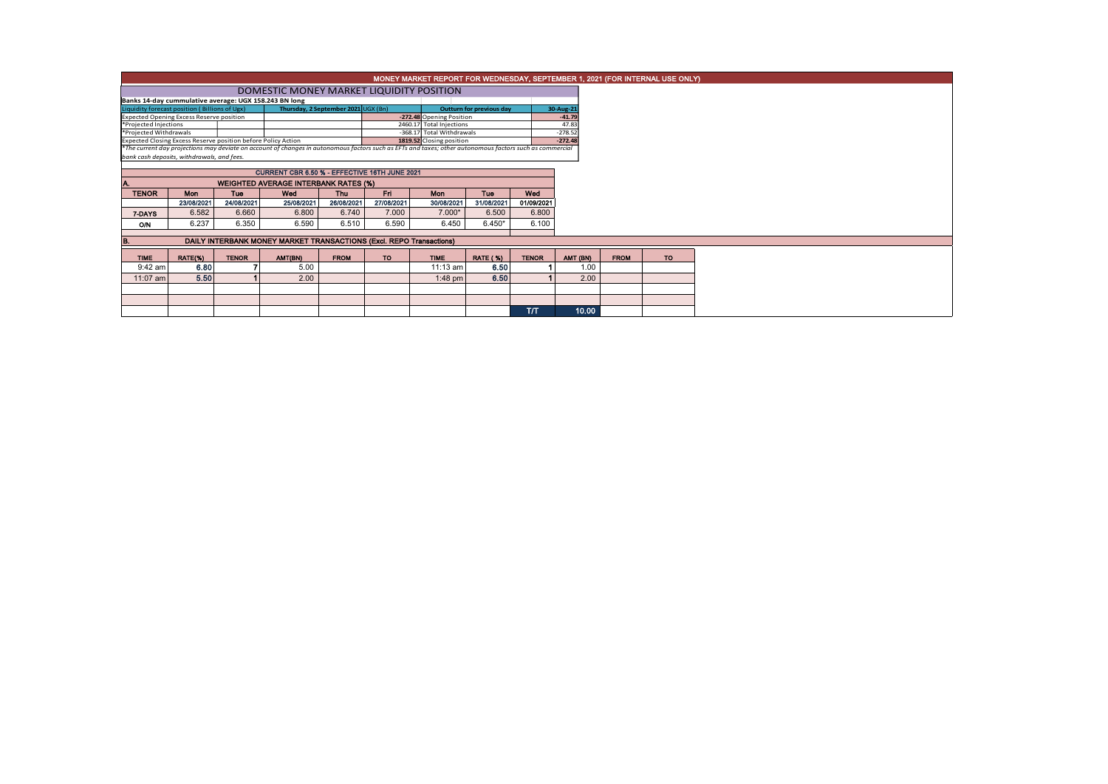|                                                                     | MONEY MARKET REPORT FOR WEDNESDAY, SEPTEMBER 1, 2021 (FOR INTERNAL USE ONLY) |              |                                                                                                                                                          |                                     |            |                                 |                 |              |           |          |             |  |  |  |
|---------------------------------------------------------------------|------------------------------------------------------------------------------|--------------|----------------------------------------------------------------------------------------------------------------------------------------------------------|-------------------------------------|------------|---------------------------------|-----------------|--------------|-----------|----------|-------------|--|--|--|
|                                                                     | DOMESTIC MONEY MARKET LIQUIDITY POSITION                                     |              |                                                                                                                                                          |                                     |            |                                 |                 |              |           |          |             |  |  |  |
| Banks 14-day cummulative average: UGX 158.243 BN long               |                                                                              |              |                                                                                                                                                          |                                     |            |                                 |                 |              |           |          |             |  |  |  |
| Liquidity forecast position (Billions of Ugx)                       |                                                                              |              |                                                                                                                                                          | Thursday, 2 September 2021 UGX (Bn) |            | <b>Outturn for previous day</b> |                 | 30-Aug-21    |           |          |             |  |  |  |
| <b>Expected Opening Excess Reserve position</b>                     |                                                                              |              |                                                                                                                                                          |                                     |            | -272.48 Opening Position        |                 |              | $-41.79$  |          |             |  |  |  |
| *Projected Injections                                               |                                                                              |              |                                                                                                                                                          | 2460.17 Total Injections            |            |                                 | 47.83           |              |           |          |             |  |  |  |
| *Projected Withdrawals                                              |                                                                              |              |                                                                                                                                                          | -368.17 Total Withdrawals           |            | $-278.52$                       |                 |              |           |          |             |  |  |  |
| Expected Closing Excess Reserve position before Policy Action       |                                                                              |              |                                                                                                                                                          |                                     |            | 1819.52 Closing position        |                 |              | $-272.48$ |          |             |  |  |  |
|                                                                     |                                                                              |              | *The current day projections may deviate on account of changes in autonomous factors such as EFTs and taxes; other autonomous factors such as commercial |                                     |            |                                 |                 |              |           |          |             |  |  |  |
| bank cash deposits, withdrawals, and fees.                          |                                                                              |              |                                                                                                                                                          |                                     |            |                                 |                 |              |           |          |             |  |  |  |
|                                                                     |                                                                              |              |                                                                                                                                                          |                                     |            |                                 |                 |              |           |          |             |  |  |  |
|                                                                     |                                                                              |              | CURRENT CBR 6.50 % - EFFECTIVE 16TH JUNE 2021                                                                                                            |                                     |            |                                 |                 |              |           |          |             |  |  |  |
|                                                                     |                                                                              |              | <b>WEIGHTED AVERAGE INTERBANK RATES (%)</b>                                                                                                              |                                     |            |                                 |                 |              |           |          |             |  |  |  |
| <b>TENOR</b>                                                        | <b>Mon</b>                                                                   | Tue          | Wed                                                                                                                                                      | Thu                                 | Fri.       | <b>Mon</b>                      | <b>Tue</b>      | Wed          |           |          |             |  |  |  |
|                                                                     | 23/08/2021                                                                   | 24/08/2021   | 25/08/2021                                                                                                                                               | 26/08/2021                          | 27/08/2021 | 30/08/2021                      | 31/08/2021      | 01/09/2021   |           |          |             |  |  |  |
| 7-DAYS                                                              | 6.582                                                                        | 6.660        | 6.800                                                                                                                                                    | 6.740                               | 7.000      | $7.000*$                        | 6.500           | 6.800        |           |          |             |  |  |  |
| <b>O/N</b>                                                          | 6.237                                                                        | 6.350        | 6.590                                                                                                                                                    | 6.510                               | 6.590      | 6.450                           | $6.450*$        | 6.100        |           |          |             |  |  |  |
|                                                                     |                                                                              |              |                                                                                                                                                          |                                     |            |                                 |                 |              |           |          |             |  |  |  |
| DAILY INTERBANK MONEY MARKET TRANSACTIONS (Excl. REPO Transactions) |                                                                              |              |                                                                                                                                                          |                                     |            |                                 |                 |              |           |          |             |  |  |  |
| <b>TIME</b>                                                         | RATE(%)                                                                      | <b>TENOR</b> | AMT(BN)                                                                                                                                                  | <b>FROM</b>                         | TO.        | <b>TIME</b>                     | <b>RATE (%)</b> | <b>TENOR</b> |           | AMT (BN) | <b>FROM</b> |  |  |  |
| $9:42$ am                                                           | 6.80                                                                         |              | 5.00                                                                                                                                                     |                                     |            | $11:13$ am                      | 6.50            |              |           | 1.00     |             |  |  |  |
| 11:07 am                                                            | 5.50                                                                         |              | 2.00                                                                                                                                                     |                                     |            | $1:48$ pm                       | 6.50            |              |           | 2.00     |             |  |  |  |
|                                                                     |                                                                              |              |                                                                                                                                                          |                                     |            |                                 |                 |              |           |          |             |  |  |  |
|                                                                     |                                                                              |              |                                                                                                                                                          |                                     |            |                                 |                 |              |           |          |             |  |  |  |
|                                                                     |                                                                              |              |                                                                                                                                                          |                                     |            |                                 |                 | T/T          |           | 10.00    |             |  |  |  |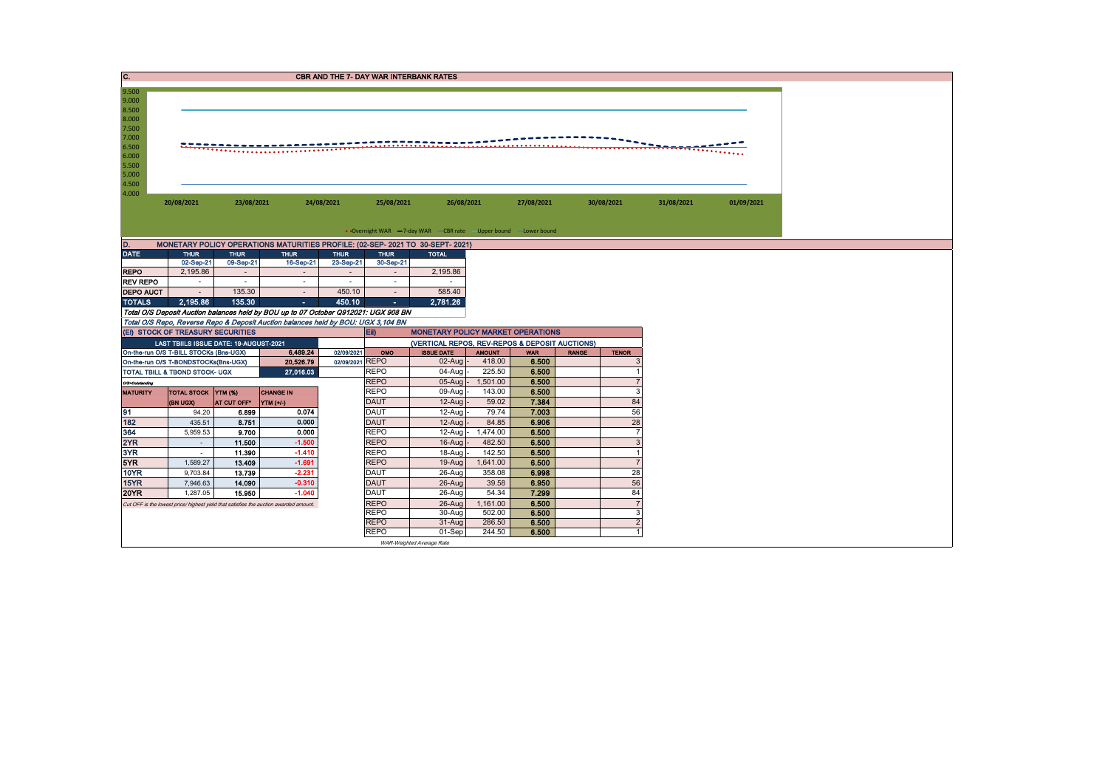|                                                                                                 | C.<br><b>CBR AND THE 7- DAY WAR INTERBANK RATES</b>                                                                  |                                                          |                                                                                       |                                                |                            |                                          |                    |                |              |                          |  |            |  |
|-------------------------------------------------------------------------------------------------|----------------------------------------------------------------------------------------------------------------------|----------------------------------------------------------|---------------------------------------------------------------------------------------|------------------------------------------------|----------------------------|------------------------------------------|--------------------|----------------|--------------|--------------------------|--|------------|--|
| 9.500<br>9.000<br>8.500<br>8.000<br>7.500<br>7.000<br>6.500<br>6.000<br>5.500<br>5.000<br>4.500 | $\sim$                                                                                                               |                                                          |                                                                                       |                                                |                            |                                          |                    |                |              |                          |  |            |  |
| 4.000                                                                                           | 20/08/2021                                                                                                           | 23/08/2021                                               |                                                                                       | 24/08/2021                                     | 25/08/2021                 | 26/08/2021                               |                    | 27/08/2021     |              | 30/08/2021<br>31/08/2021 |  | 01/09/2021 |  |
|                                                                                                 | • Overnight WAR -7-day WAR - CBR rate - Upper bound - Lower bound                                                    |                                                          |                                                                                       |                                                |                            |                                          |                    |                |              |                          |  |            |  |
| ID.                                                                                             |                                                                                                                      |                                                          | MONETARY POLICY OPERATIONS MATURITIES PROFILE: (02-SEP- 2021 TO 30-SEPT- 2021)        |                                                |                            |                                          |                    |                |              |                          |  |            |  |
| <b>DATE</b>                                                                                     | <b>THUR</b>                                                                                                          | <b>THUR</b>                                              | <b>THUR</b>                                                                           | <b>THUR</b>                                    | <b>THUR</b>                | <b>TOTAL</b>                             |                    |                |              |                          |  |            |  |
|                                                                                                 | 02-Sep-21                                                                                                            | 09-Sep-21                                                | 16-Sep-21                                                                             | 23-Sep-21                                      | 30-Sep-21                  |                                          |                    |                |              |                          |  |            |  |
| <b>REPO</b>                                                                                     | 2,195.86                                                                                                             | $\sim$                                                   | $\sim$                                                                                | $\sim$                                         | $\sim$                     | 2,195.86                                 |                    |                |              |                          |  |            |  |
| <b>REV REPO</b><br><b>DEPO AUCT</b>                                                             |                                                                                                                      | $\sim$<br>$\sim$<br>$\sim$<br>$\sim$<br>$\sim$<br>$\sim$ |                                                                                       |                                                |                            |                                          |                    |                |              |                          |  |            |  |
| <b>TOTALS</b>                                                                                   | 135.30<br>585.40<br>450.10<br>$\sim$<br>$\sim$<br>$\sim$<br>2.195.86<br>135.30<br>450.10<br>2,781.26<br>$\sim$<br>×. |                                                          |                                                                                       |                                                |                            |                                          |                    |                |              |                          |  |            |  |
|                                                                                                 |                                                                                                                      |                                                          | Total O/S Deposit Auction balances held by BOU up to 07 October Q912021: UGX 908 BN   |                                                |                            |                                          |                    |                |              |                          |  |            |  |
|                                                                                                 |                                                                                                                      |                                                          | Total O/S Repo, Reverse Repo & Deposit Auction balances held by BOU: UGX 3,104 BN     |                                                |                            |                                          |                    |                |              |                          |  |            |  |
|                                                                                                 | (EI) STOCK OF TREASURY SECURITIES                                                                                    |                                                          |                                                                                       |                                                | <b>IEID</b>                | <b>MONETARY POLICY MARKET OPERATIONS</b> |                    |                |              |                          |  |            |  |
|                                                                                                 | LAST TBIILS ISSUE DATE: 19-AUGUST-2021                                                                               |                                                          |                                                                                       | (VERTICAL REPOS, REV-REPOS & DEPOSIT AUCTIONS) |                            |                                          |                    |                |              |                          |  |            |  |
| On-the-run O/S T-BILL STOCKs (Bns-UGX)<br>6,489.24                                              |                                                                                                                      |                                                          |                                                                                       |                                                |                            |                                          |                    |                |              |                          |  |            |  |
|                                                                                                 |                                                                                                                      |                                                          |                                                                                       | 02/09/2021                                     | OMO                        | <b>ISSUE DATE</b>                        | <b>AMOUNT</b>      | <b>WAR</b>     | <b>RANGE</b> | <b>TENOR</b>             |  |            |  |
|                                                                                                 | On-the-run O/S T-BONDSTOCKs(Bns-UGX)                                                                                 |                                                          | 20,526.79                                                                             | 02/09/2021 REPO                                |                            | $02$ -Aug -                              | 418.00             | 6.500          |              |                          |  |            |  |
|                                                                                                 | TOTAL TBILL & TBOND STOCK- UGX                                                                                       |                                                          | 27,016.03                                                                             |                                                | <b>REPO</b>                | 04-Aug                                   | 225.50             | 6.500          |              |                          |  |            |  |
| O/S=Outstanding                                                                                 |                                                                                                                      |                                                          |                                                                                       |                                                | <b>REPO</b>                |                                          | 05-Aug - 1,501.00  | 6.500          |              |                          |  |            |  |
| <b>MATURITY</b>                                                                                 | TOTAL STOCK YTM (%)                                                                                                  |                                                          | <b>CHANGE IN</b>                                                                      |                                                | <b>REPO</b>                | 09-Aug                                   | 143.00             | 6.500          |              | 3                        |  |            |  |
|                                                                                                 | (BN UGX)                                                                                                             | AT CUT OFF*                                              | NTM(1)                                                                                |                                                | <b>DAUT</b>                | $12-Auq$                                 | 59.02              | 7.384          |              | 84                       |  |            |  |
| 91                                                                                              | 94.20                                                                                                                | 6.899                                                    | 0.074                                                                                 |                                                | <b>DAUT</b>                | 12-Aug                                   | 79.74              | 7.003          |              | 56                       |  |            |  |
| 182                                                                                             | 435.51                                                                                                               | 8.751                                                    | 0.000<br>0.000                                                                        |                                                | <b>DAUT</b>                | 12-Aug                                   | 84.85              | 6.906          |              | 28<br>$\overline{7}$     |  |            |  |
| 364                                                                                             | 5,959.53<br>$\sim$                                                                                                   | 9.700<br>11.500                                          | $-1.500$                                                                              |                                                | <b>REPO</b><br><b>REPO</b> | 12-Aug<br>16-Aug                         | 1,474.00<br>482.50 | 6.500<br>6.500 |              | 3                        |  |            |  |
| 2YR<br>3YR                                                                                      | $\sim$                                                                                                               | 11.390                                                   | $-1.410$                                                                              |                                                | <b>REPO</b>                | 18-Aug                                   | 142.50             | 6.500          |              |                          |  |            |  |
| 5YR                                                                                             | 1,589.27                                                                                                             | 13.409                                                   | $-1.691$                                                                              |                                                | <b>REPO</b>                | 19-Aug                                   | 1,641.00           | 6.500          |              |                          |  |            |  |
| <b>10YR</b>                                                                                     | 9,703.84                                                                                                             | 13.739                                                   | $-2.231$                                                                              |                                                | <b>DAUT</b>                | 26-Aug                                   | 358.08             | 6.998          |              | 28                       |  |            |  |
| 15YR                                                                                            | 7.946.63                                                                                                             | 14.090                                                   | $-0.310$                                                                              |                                                | <b>DAUT</b>                | 26-Aug                                   | 39.58              | 6.950          |              | 56                       |  |            |  |
| <b>20YR</b>                                                                                     | 1,287.05                                                                                                             | 15.950                                                   | $-1.040$                                                                              |                                                | <b>DAUT</b>                | 26-Aug                                   | 54.34              | 7.299          |              | 84                       |  |            |  |
|                                                                                                 |                                                                                                                      |                                                          | Cut OFF is the lowest price/ highest yield that satisfies the auction awarded amount. |                                                | <b>REPO</b>                | 26-Aug                                   | 1.161.00           | 6.500          |              | $\overline{7}$           |  |            |  |
|                                                                                                 |                                                                                                                      |                                                          |                                                                                       |                                                | <b>REPO</b>                | 30-Aug                                   | 502.00             | 6.500          |              | 3                        |  |            |  |
|                                                                                                 |                                                                                                                      |                                                          |                                                                                       |                                                | <b>REPO</b><br><b>REPO</b> | $31-Auq$<br>01-Sep                       | 286.50<br>244.50   | 6.500<br>6.500 |              | $\overline{2}$           |  |            |  |